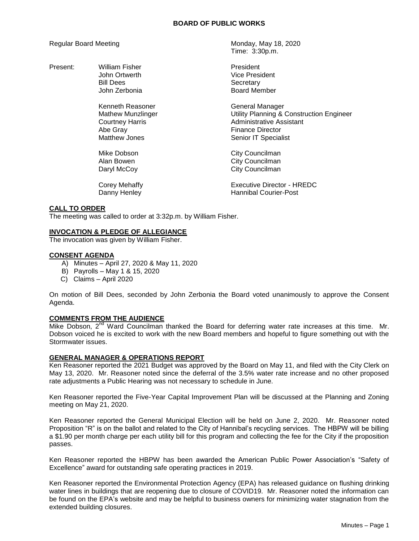### **BOARD OF PUBLIC WORKS**

Present: William Fisher **President** President

Kenneth Reasoner General Manager Abe Gray **Finance Director** 

Regular Board Meeting Monday, May 18, 2020 Time: 3:30p.m.

> John Ortwerth **Vice President** Bill Dees<br>
> John Zerbonia<br>
> Secretary
> Board Mer Board Member

Mathew Munzlinger Utility Planning & Construction Engineer Courtney Harris **Administrative Assistant** Matthew Jones **Senior IT** Specialist

Mike Dobson **City Councilman** Alan Bowen **City Councilman** Daryl McCoy **City Councilman** 

Corey Mehaffy **Executive Director - HREDC** Danny Henley **Hannibal Courier-Post** 

# **CALL TO ORDER**

The meeting was called to order at 3:32p.m. by William Fisher.

## **INVOCATION & PLEDGE OF ALLEGIANCE**

The invocation was given by William Fisher.

## **CONSENT AGENDA**

- A) Minutes April 27, 2020 & May 11, 2020
- B) Payrolls May 1 & 15, 2020
- C) Claims April 2020

On motion of Bill Dees, seconded by John Zerbonia the Board voted unanimously to approve the Consent Agenda.

## **COMMENTS FROM THE AUDIENCE**

Mike Dobson,  $2^{nd}$  Ward Councilman thanked the Board for deferring water rate increases at this time. Mr. Dobson voiced he is excited to work with the new Board members and hopeful to figure something out with the Stormwater issues.

## **GENERAL MANAGER & OPERATIONS REPORT**

Ken Reasoner reported the 2021 Budget was approved by the Board on May 11, and filed with the City Clerk on May 13, 2020. Mr. Reasoner noted since the deferral of the 3.5% water rate increase and no other proposed rate adjustments a Public Hearing was not necessary to schedule in June.

Ken Reasoner reported the Five-Year Capital Improvement Plan will be discussed at the Planning and Zoning meeting on May 21, 2020.

Ken Reasoner reported the General Municipal Election will be held on June 2, 2020. Mr. Reasoner noted Proposition "R" is on the ballot and related to the City of Hannibal's recycling services. The HBPW will be billing a \$1.90 per month charge per each utility bill for this program and collecting the fee for the City if the proposition passes.

Ken Reasoner reported the HBPW has been awarded the American Public Power Association's "Safety of Excellence" award for outstanding safe operating practices in 2019.

Ken Reasoner reported the Environmental Protection Agency (EPA) has released guidance on flushing drinking water lines in buildings that are reopening due to closure of COVID19. Mr. Reasoner noted the information can be found on the EPA's website and may be helpful to business owners for minimizing water stagnation from the extended building closures.